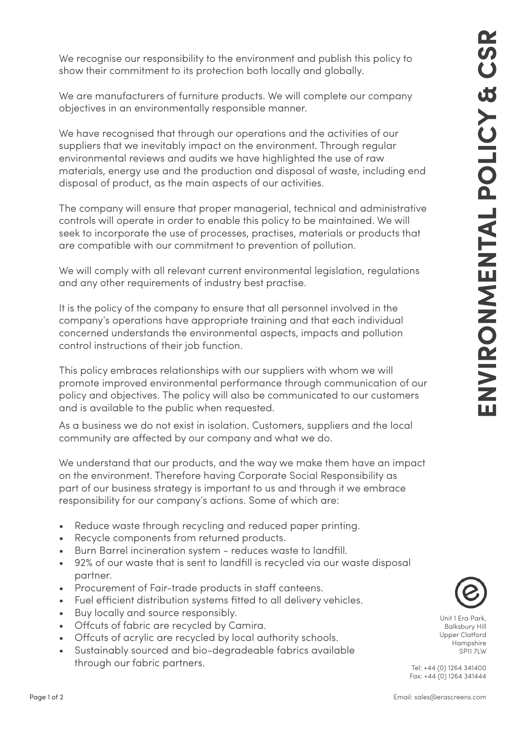We recognise our responsibility to the environment and publish this policy to show their commitment to its protection both locally and globally.

We are manufacturers of furniture products. We will complete our company objectives in an environmentally responsible manner.

We have recognised that through our operations and the activities of our suppliers that we inevitably impact on the environment. Through regular environmental reviews and audits we have highlighted the use of raw materials, energy use and the production and disposal of waste, including end disposal of product, as the main aspects of our activities.

The company will ensure that proper managerial, technical and administrative controls will operate in order to enable this policy to be maintained. We will seek to incorporate the use of processes, practises, materials or products that are compatible with our commitment to prevention of pollution.

We will comply with all relevant current environmental legislation, regulations and any other requirements of industry best practise.

It is the policy of the company to ensure that all personnel involved in the company's operations have appropriate training and that each individual concerned understands the environmental aspects, impacts and pollution control instructions of their job function.

This policy embraces relationships with our suppliers with whom we will promote improved environmental performance through communication of our policy and objectives. The policy will also be communicated to our customers and is available to the public when requested.

As a business we do not exist in isolation. Customers, suppliers and the local community are affected by our company and what we do.

We understand that our products, and the way we make them have an impact on the environment. Therefore having Corporate Social Responsibility as part of our business strategy is important to us and through it we embrace responsibility for our company's actions. Some of which are:

- Reduce waste through recycling and reduced paper printing.
- Recycle components from returned products.
- Burn Barrel incineration system reduces waste to landfill.
- 92% of our waste that is sent to landfill is recycled via our waste disposal partner.
- Procurement of Fair-trade products in staff canteens.
- Fuel efficient distribution systems fitted to all delivery vehicles.
- Buy locally and source responsibly.
- Offcuts of fabric are recycled by Camira.
- Offcuts of acrylic are recycled by local authority schools.
- Sustainably sourced and bio-degradeable fabrics available through our fabric partners.



Unit 1 Era Park, Balksbury Hill Upper Clatford Hampshire SP11 7LW

Tel: +44 (0) 1264 341400 Fax: +44 (0) 1264 341444